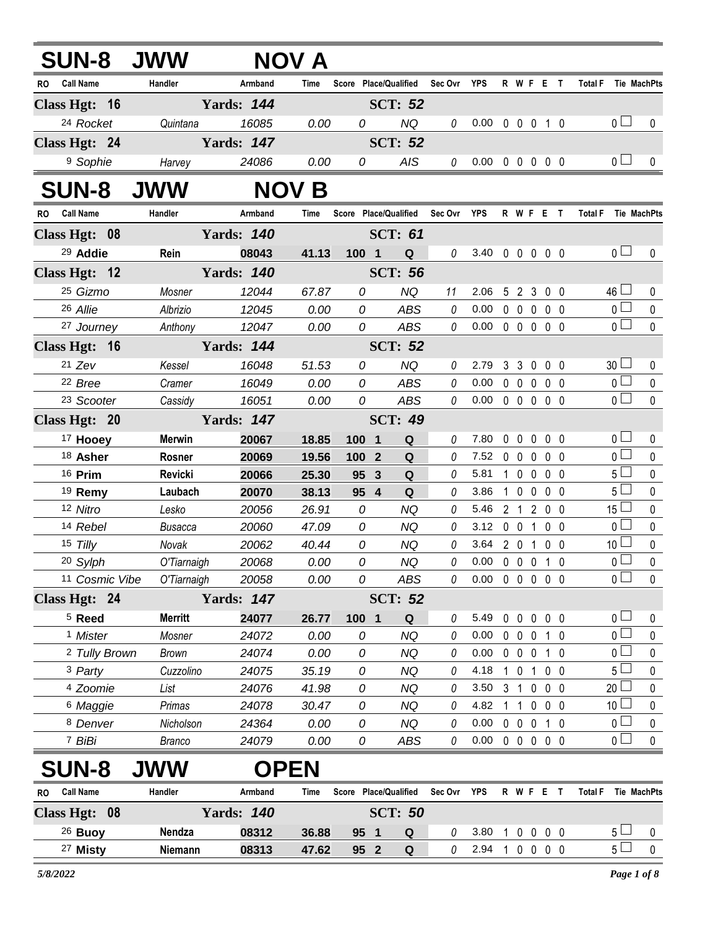|    |                            | <b>SUN-8 JWW</b>           |                   | NOV A         |         |                                   |             |                                    |              |                   |             |                   |                |                        |                          |
|----|----------------------------|----------------------------|-------------------|---------------|---------|-----------------------------------|-------------|------------------------------------|--------------|-------------------|-------------|-------------------|----------------|------------------------|--------------------------|
|    | RO Call Name               | Handler                    | Armband           | Time          |         | Score Place/Qualified Sec Ovr YPS |             |                                    |              |                   |             | R W F E T         |                |                        | Total F Tie MachPts      |
|    | Class Hgt: 16              |                            | <b>Yards: 144</b> |               |         | <b>SCT: 52</b>                    |             |                                    |              |                   |             |                   |                |                        |                          |
|    | <sup>24</sup> Rocket       | Quintana                   | 16085             | 0.00          | 0       | <b>NQ</b>                         | 0           | $0.00 \t0 \t0 \t0 \t1 \t0$         |              |                   |             |                   |                | 0 <sub>1</sub>         | $\mathbf 0$              |
|    | Class Hgt: 24              |                            | <b>Yards: 147</b> |               |         | <b>SCT: 52</b>                    |             |                                    |              |                   |             |                   |                |                        |                          |
|    | <sup>9</sup> Sophie        | Harvey                     | 24086             | 0.00          | 0       | <b>AIS</b>                        | 0           | $0.00 \t0 \t0 \t0 \t0 \t0$         |              |                   |             |                   |                | 0 <sub>l</sub>         | $\mathbf{0}$             |
|    | <b>SUN-8</b>               | <b>JWW</b>                 |                   | <b>NOV B</b>  |         |                                   |             |                                    |              |                   |             |                   |                |                        |                          |
|    | RO Call Name               | Handler                    | Armband           | Time          |         | Score Place/Qualified             | Sec Ovr YPS |                                    |              |                   |             | R W F E T         | <b>Total F</b> |                        | Tie MachPts              |
|    | Class Hgt: 08              |                            | <b>Yards: 140</b> |               |         | <b>SCT: 61</b>                    |             |                                    |              |                   |             |                   |                |                        |                          |
|    | 29 Addie                   | Rein                       | 08043             | 41.13         | 100 1   | Q                                 | 0           | 3.40 0 0 0 0 0                     |              |                   |             |                   |                | 0 <sub>0</sub>         | 0                        |
|    | Class Hgt: 12              |                            | <b>Yards: 140</b> |               |         | <b>SCT: 56</b>                    |             |                                    |              |                   |             |                   |                |                        |                          |
|    | 25 Gizmo                   | Mosner                     | 12044             | 67.87         | 0       | <b>NQ</b>                         | 11          | 2.06                               |              |                   |             | 5 2 3 0 0         |                | $46 \Box$              | 0                        |
|    | 26 Allie                   | Albrizio                   | 12045             | 0.00          | 0       | <b>ABS</b>                        | $\theta$    | 0.00                               |              |                   |             | 0 0 0 0 0         |                | 0 <sub>0</sub>         | $\pmb{0}$                |
|    | 27 Journey                 | Anthony                    | 12047             | 0.00          | 0       | ABS                               | 0           | 0.00                               |              |                   |             | 00000             |                | 0 <sub>0</sub>         | $\mathbf 0$              |
|    | Class Hgt: 16              |                            | <b>Yards: 144</b> |               |         | <b>SCT: 52</b>                    |             |                                    |              |                   |             |                   |                |                        |                          |
|    | $21$ Zev                   | Kessel                     | 16048             | 51.53         | 0       | <b>NQ</b>                         | 0           | 2.79                               |              |                   |             | 3 3 0 0 0         |                | 30 <sup>1</sup>        | 0                        |
|    | 22 Bree                    | Cramer                     | 16049             | 0.00          | 0       | ABS                               | 0           | 0.00                               |              | $0\quad 0\quad 0$ |             | 0 <sub>0</sub>    |                | 0 <sub>1</sub>         | $\mathbf 0$              |
|    | <sup>23</sup> Scooter      | Cassidy                    | 16051             | 0.00          | 0       | <b>ABS</b>                        | 0           | $0.00 \t0 \t0 \t0 \t0 \t0$         |              |                   |             |                   |                | 0 <sup>1</sup>         | $\mathbf{0}$             |
|    | Class Hgt: 20              |                            | <b>Yards: 147</b> |               |         | <b>SCT: 49</b>                    |             |                                    |              |                   |             |                   |                |                        |                          |
|    | <sup>17</sup> Hooey        | <b>Merwin</b>              | 20067             | 18.85         | 100 1   | Q                                 | 0           | 7.80                               |              |                   |             | 00000             |                | 0 <sub>1</sub>         | 0                        |
|    | 18 Asher                   | Rosner                     | 20069             | 19.56         | 100 2   | Q                                 | 0           | 7.52 0 0 0 0 0                     |              |                   |             |                   |                | 0 <sub>l</sub>         | $\pmb{0}$                |
|    | 16 Prim                    | Revicki                    | 20066             | 25.30         | 95 3    | Q                                 | 0           | 5.81                               |              |                   |             | 1 0 0 0 0         |                | 5 <sub>1</sub>         | $\mathbf 0$              |
|    | <sup>19</sup> Remy         | Laubach                    | 20070             | 38.13         | 95 4    | Q                                 | 0           | 3.86                               |              |                   |             | 1 0 0 0 0         |                | 5 <sub>1</sub>         | $\pmb{0}$                |
|    | 12 Nitro                   | Lesko                      | 20056             | 26.91         | 0       | <b>NQ</b>                         | 0           | 5.46                               |              |                   |             | 2 1 2 0 0         |                | 15 $\lfloor$           | $\mathbf 0$              |
|    | 14 Rebel                   | <b>Busacca</b>             | 20060             | 47.09         | 0       | <b>NQ</b>                         | 0           | 3.12 0 0 1 0 0                     |              |                   |             |                   |                | 0 <sub>0</sub>         | $\pmb{0}$                |
|    | 15 Tilly                   | Novak                      | 20062             | 40.44         | 0<br>0  | <b>NQ</b>                         | 0<br>0      | 3.64<br>$0.00 \t0 \t0 \t0 \t1 \t0$ |              |                   |             | 2 0 1 0 0         |                | 10 l<br>0 <sup>1</sup> | $\pmb{0}$<br>$\mathbf 0$ |
|    | 20 Sylph<br>11 Cosmic Vibe | O'Tiarnaigh<br>O'Tiarnaigh | 20068<br>20058    | 0.00<br>0.00  | 0       | <b>NQ</b><br>ABS                  | 0           | $0.00 \t0 \t0 \t0 \t0 \t0$         |              |                   |             |                   |                | 0 <sub>0</sub>         | $\mathbf 0$              |
|    | Class Hgt: 24              |                            | <b>Yards: 147</b> |               |         | <b>SCT: 52</b>                    |             |                                    |              |                   |             |                   |                |                        |                          |
|    | $5$ Reed                   | <b>Merritt</b>             | 24077             |               | $100 1$ | Q                                 | 0           | 5.49                               |              | $0\quad 0$        | $\mathbf 0$ | 0 <sub>0</sub>    |                | 0 <sub>0</sub>         | 0                        |
|    | <sup>1</sup> Mister        | Mosner                     | 24072             | 26.77<br>0.00 | 0       | <b>NQ</b>                         | 0           | 0.00                               |              | $0\quad 0$        | 0           | 10                |                | 0 L                    | 0                        |
|    | <sup>2</sup> Tully Brown   | <b>Brown</b>               | 24074             | 0.00          | 0       | <b>NQ</b>                         | 0           | 0.00                               |              | $0\quad 0$        | $\mathbf 0$ | 10                |                | 0 <sup>1</sup>         | $\pmb{0}$                |
|    | 3 Party                    | Cuzzolino                  | 24075             | 35.19         | 0       | <b>NQ</b>                         | 0           | 4.18                               |              |                   |             | 1 0 1 0 0         |                | 5 <sup>1</sup>         | 0                        |
|    | 4 Zoomie                   | List                       | 24076             | 41.98         | 0       | <b>NQ</b>                         | 0           | 3.50                               | $3 \quad 1$  |                   |             | $0\quad 0\quad 0$ |                | $20$ $-$               | $\pmb{0}$                |
|    | <sup>6</sup> Maggie        | Primas                     | 24078             | 30.47         | 0       | <b>NQ</b>                         | 0           | 4.82                               | $\mathbf{1}$ | 1                 | $\mathbf 0$ | $0\quad 0$        |                | 10 <sup>L</sup>        | 0                        |
|    | <sup>8</sup> Denver        | Nicholson                  | 24364             | 0.00          | 0       | NQ                                | 0           | 0.00                               |              |                   |             | 0 0 0 1 0         |                | 0 <sub>1</sub>         | $\mathbf 0$              |
|    | 7 BiBi                     | <b>Branco</b>              | 24079             | 0.00          | 0       | <b>ABS</b>                        | 0           | 0.00                               |              |                   |             | 00000             |                | 0 <sub>1</sub>         | $\mathbf 0$              |
|    | <b>SUN-8</b>               | <b>JWW</b>                 |                   | <b>OPEN</b>   |         |                                   |             |                                    |              |                   |             |                   |                |                        |                          |
| RO | <b>Call Name</b>           | Handler                    | Armband           | Time          |         | Score Place/Qualified             | Sec Ovr     | <b>YPS</b>                         |              |                   |             | R W F E T         | <b>Total F</b> |                        | Tie MachPts              |
|    | Class Hgt: 08              |                            | <b>Yards: 140</b> |               |         | <b>SCT: 50</b>                    |             |                                    |              |                   |             |                   |                |                        |                          |
|    | 26 Buoy                    | Nendza                     | 08312             | 36.88         | 95 1    | Q                                 | 0           | 3.80                               |              |                   |             | 1 0 0 0 0         |                | $5 -$                  | 0                        |
|    | 27 Misty                   | Niemann                    | 08313             | 47.62         | 95 2    | $\mathbf Q$                       | 0           | 2.94 1 0 0 0 0                     |              |                   |             |                   |                | 5 <sub>1</sub>         | $\mathbf 0$              |
|    |                            |                            |                   |               |         |                                   |             |                                    |              |                   |             |                   |                |                        |                          |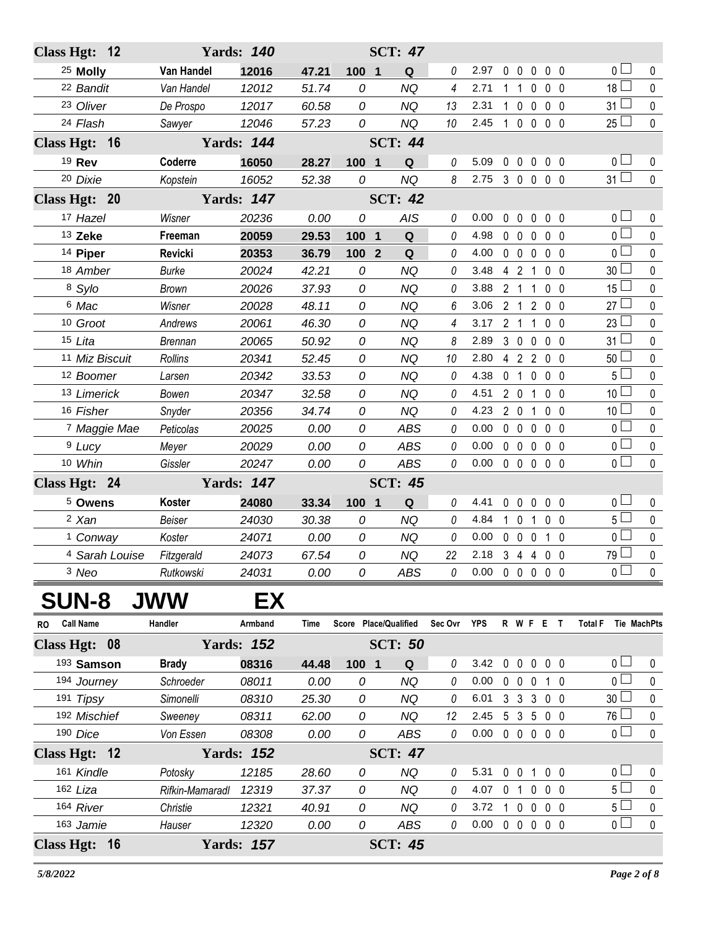| Class Hgt: 12           |                 | <b>Yards: 140</b> |       |                                | <b>SCT: 47</b> |         |                            |              |                |                                 |                |                                      |             |
|-------------------------|-----------------|-------------------|-------|--------------------------------|----------------|---------|----------------------------|--------------|----------------|---------------------------------|----------------|--------------------------------------|-------------|
| <sup>25</sup> Molly     | Van Handel      | 12016             | 47.21 | $\overline{\mathbf{1}}$<br>100 | Q              | 0       | 2.97                       |              |                | 00000                           |                | 0 l                                  | 0           |
| 22 Bandit               | Van Handel      | 12012             | 51.74 | 0                              | <b>NQ</b>      | 4       | 2.71                       | 1            | $\mathbf{1}$   | $\mathbf 0$                     | 0 <sub>0</sub> | 18 <sup>1</sup>                      | $\mathbf 0$ |
| 23 Oliver               | De Prospo       | 12017             | 60.58 | 0                              | <b>NQ</b>      | 13      | 2.31                       | $\mathbf 1$  | $\mathbf 0$    | $\mathbf 0$                     | 0 <sub>0</sub> | 31                                   | $\pmb{0}$   |
| 24 Flash                | Sawyer          | 12046             | 57.23 | 0                              | <b>NQ</b>      | 10      | 2.45                       | $\mathbf{1}$ |                | $0\ 0\ 0\ 0$                    |                | $25 -$                               | $\pmb{0}$   |
| Class Hgt: 16           |                 | <b>Yards: 144</b> |       |                                | <b>SCT: 44</b> |         |                            |              |                |                                 |                |                                      |             |
| 19 Rev                  | Coderre         | 16050             | 28.27 | 100 1                          | Q              | 0       | 5.09                       |              |                | 00000                           |                | 0 l                                  | 0           |
| 20 Dixie                | Kopstein        | 16052             | 52.38 | 0                              | <b>NQ</b>      | 8       | 2.75                       |              |                | 3 0 0 0 0                       |                | $31 \Box$                            | $\mathbf 0$ |
| Class Hgt: 20           |                 | <b>Yards: 147</b> |       |                                | <b>SCT: 42</b> |         |                            |              |                |                                 |                |                                      |             |
| 17 Hazel                | Wisner          | 20236             | 0.00  | 0                              | <b>AIS</b>     | 0       | 0.00                       |              | $0\quad 0$     | $\mathbf 0$                     | $0\quad 0$     | 0 l                                  | 0           |
| 13 Zeke                 | Freeman         | 20059             | 29.53 | $100$ 1                        | $\mathbf Q$    | 0       | 4.98                       |              | $0\quad 0$     | $\mathbf 0$                     | $0\quad 0$     | 0 <sup>1</sup>                       | $\pmb{0}$   |
| 14 Piper                | Revicki         | 20353             | 36.79 | 100<br>$\overline{2}$          | $\mathbf Q$    | 0       | 4.00                       |              | $0\quad 0$     | $\mathbf 0$                     | 0 <sub>0</sub> | 0 l                                  | $\pmb{0}$   |
| 18 Amber                | <b>Burke</b>    | 20024             | 42.21 | 0                              | <b>NQ</b>      | 0       | 3.48                       |              | 4 2            | -1                              | 0 <sub>0</sub> | 30 <sup>1</sup>                      | $\pmb{0}$   |
| 8 Sylo                  | <b>Brown</b>    | 20026             | 37.93 | 0                              | <b>NQ</b>      | 0       | 3.88                       |              | 2 1 1          |                                 | $0\quad 0$     | 15 <sup>1</sup>                      | $\pmb{0}$   |
| 6 Mac                   | Wisner          | 20028             | 48.11 | 0                              | <b>NQ</b>      | 6       | 3.06                       |              | 2 <sub>1</sub> | $\overline{2}$                  | $0\quad 0$     | $27 -$                               | $\pmb{0}$   |
| 10 Groot                | Andrews         | 20061             | 46.30 | 0                              | <b>NQ</b>      | 4       | 3.17                       |              | 2 <sub>1</sub> | $\mathbf{1}$                    | 0 <sub>0</sub> | 23 <sup>1</sup>                      | 0           |
| 15 Lita                 | <b>Brennan</b>  | 20065             | 50.92 | 0                              | <b>NQ</b>      | 8       | 2.89                       |              | $3\quad0$      | $\mathbf 0$                     | 0 <sub>0</sub> | 31 <sup>1</sup>                      | $\pmb{0}$   |
| 11 Miz Biscuit          | <b>Rollins</b>  | 20341             | 52.45 | 0                              | <b>NQ</b>      | 10      | 2.80                       |              |                | 4 2 2 0 0                       |                | 50 <sup>1</sup>                      | $\pmb{0}$   |
| 12 Boomer               | Larsen          | 20342             | 33.53 | 0                              | <b>NQ</b>      | 0       | 4.38                       |              | 0 <sub>1</sub> | $\mathbf 0$                     | $0\quad 0$     | ا 5                                  | $\pmb{0}$   |
| 13 Limerick             | Bowen           | 20347             | 32.58 | 0                              | <b>NQ</b>      | 0       | 4.51                       |              | $2\quad 0$     | $\overline{1}$                  | 0 <sub>0</sub> | 10 <sup>1</sup>                      | 0           |
| 16 Fisher               | Snyder          | 20356             | 34.74 | 0                              | <b>NQ</b>      | 0       | 4.23                       |              | 201            |                                 | $0\quad 0$     | 10 <sup>L</sup>                      | $\pmb{0}$   |
| <sup>7</sup> Maggie Mae | Peticolas       | 20025             | 0.00  | 0                              | <b>ABS</b>     | 0       | 0.00                       |              | $0\quad 0$     | 0                               | 0 <sub>0</sub> | 0 l                                  | 0           |
| <sup>9</sup> Lucy       | Meyer           | 20029             | 0.00  | 0                              | <b>ABS</b>     | 0       | 0.00                       |              | $0\quad 0$     | $\mathbf 0$                     | $0\quad 0$     | 0 <sup>1</sup>                       | $\pmb{0}$   |
| 10 Whin                 | Gissler         | 20247             | 0.00  | 0                              | <b>ABS</b>     | 0       | 0.00                       |              |                | 00000                           |                | 0 <sub>1</sub>                       | $\mathbf 0$ |
| Class Hgt: 24           |                 | <b>Yards: 147</b> |       |                                | <b>SCT: 45</b> |         |                            |              |                |                                 |                |                                      |             |
| 5 Owens                 | Koster          | 24080             | 33.34 | $100 1$                        | Q              | 0       | 4.41                       |              | $0\quad 0$     | $\mathbf 0$                     | 0 <sub>0</sub> | 0 <sub>0</sub>                       | 0           |
| <sup>2</sup> Xan        | Beiser          | 24030             | 30.38 | 0                              | <b>NQ</b>      | 0       | 4.84                       | 1.           | $\overline{0}$ | 1                               | $0\quad 0$     | 5 <sup>1</sup>                       | 0           |
| <sup>1</sup> Conway     | Koster          | 24071             | 0.00  | 0                              | <b>NQ</b>      | 0       | 0.00                       |              | $0\quad 0$     | $\mathbf 0$                     | $1\quad0$      | 0                                    | $\pmb{0}$   |
| 4 Sarah Louise          | Fitzgerald      | 24073             | 67.54 | 0                              | <b>NQ</b>      | 22      | 2.18 3 4 4 0 0             |              |                |                                 |                | 79 L                                 | 0           |
| 3 Neo                   | Rutkowski       | 24031             | 0.00  | 0                              | ABS            | 0       | $0.00 \t0 \t0 \t0 \t0 \t0$ |              |                |                                 |                | 0 <sub>1</sub>                       | 0           |
| <b>SUN-8</b>            | <b>JWW</b>      | EX                |       |                                |                |         |                            |              |                |                                 |                |                                      |             |
| <b>Call Name</b><br>RO  | Handler         | Armband           | Time  | Score Place/Qualified          |                | Sec Ovr | YPS                        |              |                | R W F E T                       |                | <b>Total F</b><br><b>Tie MachPts</b> |             |
| Class Hgt: 08           |                 | <b>Yards: 152</b> |       |                                | <b>SCT: 50</b> |         |                            |              |                |                                 |                |                                      |             |
| 193 Samson              | <b>Brady</b>    | 08316             | 44.48 | $100$ 1                        | Q              | 0       | 3.42                       |              |                | 0 0 0 0 0                       |                | 0 <sub>1</sub>                       | 0           |
| 194 Journey             | Schroeder       | 08011             | 0.00  | 0                              | ΝQ             | 0       | 0.00                       |              | $0\quad 0$     | $\mathbf 0$                     | $1\quad0$      | 0 L                                  | 0           |
| 191 Tipsy               | Simonelli       | 08310             | 25.30 | 0                              | NQ             | 0       | 6.01                       |              |                | $3\quad 3\quad 3$               | $0\quad 0$     | 30 <sup>1</sup>                      | 0           |
| 192 Mischief            | Sweeney         | 08311             | 62.00 | 0                              | <b>NQ</b>      | 12      | 2.45                       |              |                | 5 3 5 0 0                       |                | 76 L                                 | 0           |
| 190 Dice                | Von Essen       | 08308             | 0.00  | 0                              | <b>ABS</b>     | 0       | 0.00                       |              |                | 00000                           |                | 0 <sub>l</sub>                       | $\pmb{0}$   |
| Class Hgt: 12           |                 | <b>Yards: 152</b> |       |                                | <b>SCT: 47</b> |         |                            |              |                |                                 |                |                                      |             |
| 161 Kindle              | Potosky         | 12185             | 28.60 | 0                              | NQ             | 0       | 5.31                       |              |                | 0 0 1 0 0                       |                | 0 <sub>0</sub>                       | 0           |
| 162 Liza                | Rifkin-Mamaradl | 12319             | 37.37 | 0                              | <b>NQ</b>      | 0       | 4.07                       |              | 0 <sub>1</sub> | $\mathbf 0$                     | $0\quad 0$     | 5 <sub>1</sub>                       | $\mathbf 0$ |
| 164 River               | Christie        | 12321             | 40.91 | 0                              | NQ             | 0       | 3.72                       |              | $1\quad0$      | $\mathbf 0$                     | $0\quad 0$     | 5 <sup>l</sup>                       | 0           |
| 163 Jamie               | Hauser          | 12320             | 0.00  | 0                              | ABS            | 0       | 0.00                       |              |                | $0\quad 0\quad 0\quad 0\quad 0$ |                | 0 <sup>1</sup>                       | $\pmb{0}$   |
| Class Hgt: 16           |                 | <b>Yards: 157</b> |       |                                | <b>SCT: 45</b> |         |                            |              |                |                                 |                |                                      |             |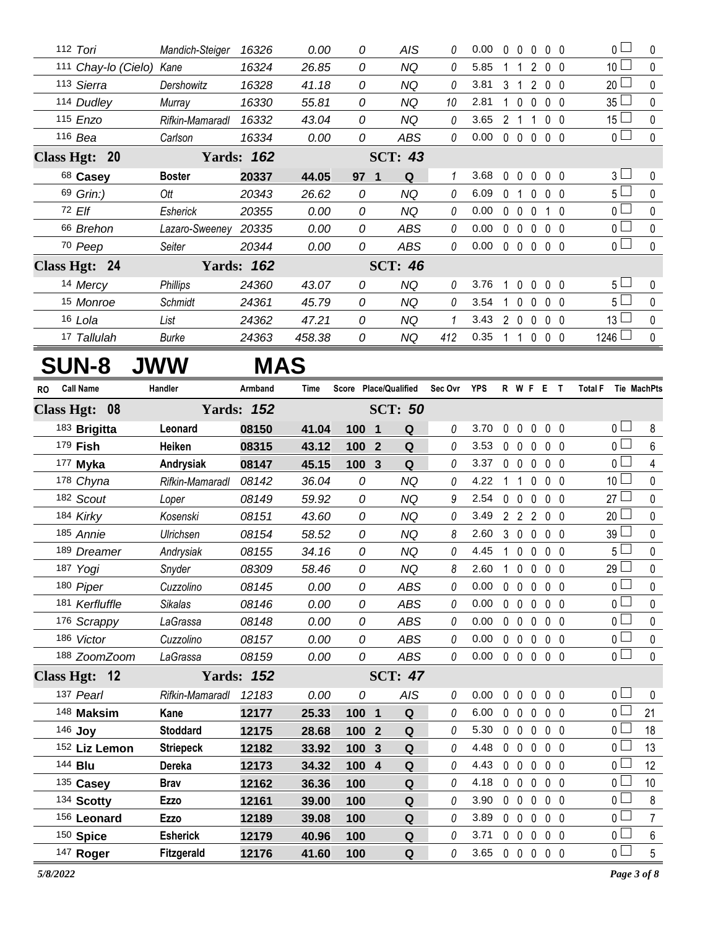|    | 112 Tori         |                          | Mandich-Steiger      | 16326             | 0.00       | 0     | AIS                           | 0            | 0.00 |                | $0\quad 0$        | 0              | $0\quad 0$     |                | 0 l                 | 0              |
|----|------------------|--------------------------|----------------------|-------------------|------------|-------|-------------------------------|--------------|------|----------------|-------------------|----------------|----------------|----------------|---------------------|----------------|
|    |                  | 111 Chay-lo (Cielo) Kane |                      | 16324             | 26.85      | 0     | <b>NQ</b>                     | 0            | 5.85 | 1              | -1                | $\overline{2}$ | 0 <sub>0</sub> |                | 10 <sup>2</sup>     | 0              |
|    | 113 Sierra       |                          | Dershowitz           | 16328             | 41.18      | 0     | <b>NQ</b>                     | 0            | 3.81 |                | $3 \quad 1$       |                | 200            |                | $20 -$              | 0              |
|    | 114 Dudley       |                          | Murray               | 16330             | 55.81      | 0     | <b>NQ</b>                     | 10           | 2.81 |                | $1\quad 0$        | $\mathbf 0$    | 0 <sub>0</sub> |                | 35 <sup>1</sup>     | 0              |
|    | 115 Enzo         |                          | Rifkin-Mamaradl      | 16332             | 43.04      | 0     | <b>NQ</b>                     | 0            | 3.65 |                | 2 <sub>1</sub>    | $\overline{1}$ | 0 <sub>0</sub> |                | $15\perp$           | 0              |
|    | 116 Bea          |                          | Carlson              | 16334             | 0.00       | 0     | <b>ABS</b>                    | 0            | 0.00 |                | $0\quad 0\quad 0$ |                | 0 <sub>0</sub> |                | 0 <sup>1</sup>      | $\mathbf 0$    |
|    | Class Hgt: 20    |                          |                      | <b>Yards: 162</b> |            |       | <b>SCT: 43</b>                |              |      |                |                   |                |                |                |                     |                |
|    | 68 Casey         |                          | <b>Boster</b>        | 20337             | 44.05      | 97 1  | Q                             | 1            | 3.68 |                | $0\quad 0$        | $\mathbf 0$    | 0 <sub>0</sub> |                | $3 -$               | 0              |
|    | 69 Grin:)        |                          | Ott                  | 20343             | 26.62      | 0     | <b>NQ</b>                     | 0            | 6.09 |                | 0 <sub>1</sub>    | 0              | 0 <sub>0</sub> |                | 5 <sub>1</sub>      | 0              |
|    | 72 Elf           |                          | Esherick             | 20355             | 0.00       | 0     | <b>NQ</b>                     | 0            | 0.00 |                | $0\quad 0$        | $\mathbf 0$    | 1              | - 0            | 0 <sub>1</sub>      | 0              |
|    | 66 Brehon        |                          | Lazaro-Sweeney 20335 |                   | 0.00       | 0     | <b>ABS</b>                    | 0            | 0.00 |                | $0\quad 0$        | $\mathbf 0$    | 0 <sub>0</sub> |                | 0 <sub>0</sub>      | $\mathbf 0$    |
|    | 70 Peep          |                          | Seiter               | 20344             | 0.00       | 0     | ABS                           | 0            | 0.00 |                |                   | 00000          |                |                | 0 <sub>1</sub>      | $\mathbf 0$    |
|    | Class Hgt: 24    |                          |                      | <b>Yards: 162</b> |            |       | <b>SCT: 46</b>                |              |      |                |                   |                |                |                |                     |                |
|    | 14 Mercy         |                          | <b>Phillips</b>      | 24360             | 43.07      | 0     | <b>NQ</b>                     | 0            | 3.76 | $\overline{1}$ | $\mathbf 0$       | $\mathbf 0$    | 0 <sub>0</sub> |                | 5 <sup>1</sup>      | 0              |
|    | 15 Monroe        |                          | Schmidt              | 24361             | 45.79      | 0     | <b>NQ</b>                     | 0            | 3.54 | 1              | $\mathbf{0}$      | $\mathbf{0}$   | 0 <sub>0</sub> |                | 5 <sub>1</sub>      | 0              |
|    | 16 Lola          |                          | List                 | 24362             | 47.21      | 0     | <b>NQ</b>                     | $\mathcal I$ | 3.43 |                | $2\quad0$         | $\mathbf 0$    | 0 <sub>0</sub> |                | $13\perp$           | 0              |
|    | 17 Tallulah      |                          | Burke                | 24363             | 458.38     | 0     | <b>NQ</b>                     | 412          | 0.35 |                | $1\quad1$         | 0              | 0 <sub>0</sub> |                | $1246$ $\Box$       | 0              |
|    | <b>SUN-8</b>     |                          | <b>JWW</b>           |                   | <b>MAS</b> |       |                               |              |      |                |                   |                |                |                |                     |                |
|    |                  |                          |                      |                   |            |       |                               |              |      |                |                   |                |                |                |                     |                |
| RO | <b>Call Name</b> |                          | Handler              | Armband           | Time       |       | Score Place/Qualified         | Sec Ovr YPS  |      |                |                   | R W F E T      |                |                | Total F Tie MachPts |                |
|    | Class Hgt: 08    |                          |                      | <b>Yards: 152</b> |            |       | <b>SCT: 50</b>                |              |      |                |                   |                |                |                |                     |                |
|    | 183 Brigitta     |                          | Leonard              | 08150             | 41.04      | 100 1 | Q                             | 0            | 3.70 | $\mathbf 0$    | $\mathbf 0$       | $\mathbf 0$    | 0 <sub>0</sub> |                | 0 <sub>1</sub>      | 8              |
|    | 179 <b>Fish</b>  |                          | Heiken               | 08315             | 43.12      | 100   | $\mathbf Q$<br>$\overline{2}$ | 0            | 3.53 | $\mathbf 0$    | $\mathbf 0$       | $\mathbf 0$    | 0 <sub>0</sub> |                | 0 <sup>1</sup>      | 6              |
|    | 177 Myka         |                          | Andrysiak            | 08147             | 45.15      | 100 3 | Q                             | 0            | 3.37 |                | $0\quad 0$        | $\mathbf 0$    | 0 <sub>0</sub> |                | 0 <sub>0</sub>      | 4              |
|    | 178 Chyna        |                          | Rifkin-Mamaradl      | 08142             | 36.04      | 0     | <b>NQ</b>                     | 0            | 4.22 | 1              | $\overline{1}$    | 0              | 0 <sub>0</sub> |                | 10 <sup>1</sup>     | 0              |
|    | 182 Scout        |                          | Loper                | 08149             | 59.92      | 0     | <b>NQ</b>                     | 9            | 2.54 |                | 0 <sub>0</sub>    | $\mathbf{0}$   | 0 <sub>0</sub> |                | $27 -$              | 0              |
|    | 184 Kirky        |                          | Kosenski             | 08151             | 43.60      | 0     | <b>NQ</b>                     | 0            | 3.49 | $\overline{2}$ | $\overline{2}$    | $\overline{2}$ | 0 <sub>0</sub> |                | 20 <sup>1</sup>     | 0              |
|    | 185 Annie        |                          | Ulrichsen            | 08154             | 58.52      | 0     | <b>NQ</b>                     | 8            | 2.60 |                | 3 0 0             |                | 0 <sub>0</sub> |                | $39\perp$           | 0              |
|    | 189 Dreamer      |                          | Andrysiak            | 08155             | 34.16      | 0     | <b>NQ</b>                     | 0            | 4.45 | $\mathbf{1}$   | $\mathbf 0$       | $\mathbf 0$    | 0 <sub>0</sub> |                | 5 <sup>1</sup>      | $\mathbf 0$    |
|    | 187 Yogi         |                          | Snyder               | 08309             | 58.46      | 0     | <b>NQ</b>                     | 8            | 2.60 | $\mathbf{1}$   |                   | $0\ 0\ 0\ 0$   |                |                | 29 <sup>1</sup>     | $\pmb{0}$      |
|    | 180 Piper        |                          | Cuzzolino            | 08145             | 0.00       | 0     | <b>ABS</b>                    | 0            | 0.00 |                | $0\quad 0$        | $\mathbf 0$    | 0 <sub>0</sub> |                | 0 l                 | 0              |
|    | 181 Kerfluffle   |                          | Sikalas              | 08146             | 0.00       | 0     | <b>ABS</b>                    | 0            | 0.00 |                | $0\quad 0$        | $\mathbf 0$    | $0\quad 0$     |                | 0 <sub>0</sub>      | 0              |
|    | 176 Scrappy      |                          | LaGrassa             | 08148             | 0.00       | 0     | ABS                           | 0            | 0.00 |                | $0\quad 0$        | $\mathbf 0$    | 0 <sub>0</sub> |                | 0 L                 | 0              |
|    | 186 Victor       |                          | Cuzzolino            | 08157             | 0.00       | 0     | <b>ABS</b>                    | 0            | 0.00 |                | $0\quad 0$        | $\mathbf 0$    | 0 <sub>0</sub> |                | 0 <sub>0</sub>      | 0              |
|    | 188 ZoomZoom     |                          | LaGrassa             | 08159             | 0.00       | 0     | ABS                           | 0            | 0.00 |                | $0\quad 0\quad 0$ |                | 0 <sub>0</sub> |                | 0 <sub>0</sub>      | 0              |
|    | Class Hgt: 12    |                          |                      | <b>Yards: 152</b> |            |       | <b>SCT: 47</b>                |              |      |                |                   |                |                |                |                     |                |
|    | 137 Pearl        |                          | Rifkin-Mamaradl      | 12183             | 0.00       | 0     | AIS                           | 0            | 0.00 | $\mathbf 0$    | $\mathbf 0$       | $\mathbf 0$    | 0 <sub>0</sub> |                | 0 <sub>0</sub>      | 0              |
|    | 148 Maksim       |                          | Kane                 | 12177             | 25.33      | 100 1 | $\mathbf Q$                   | 0            | 6.00 |                | $0\quad 0$        | $\mathbf 0$    |                | 0 <sub>0</sub> | 0 <sub>0</sub>      | 21             |
|    | 146 Joy          |                          | <b>Stoddard</b>      | 12175             | 28.68      | 100 2 | Q                             | 0            | 5.30 |                | $0\quad 0$        | $\mathbf 0$    | 0 <sub>0</sub> |                | 0 <sub>0</sub>      | 18             |
|    | 152 Liz Lemon    |                          | <b>Striepeck</b>     | 12182             | 33.92      | 100   | ${\bf Q}$<br>$\mathbf{3}$     | 0            | 4.48 | $\mathbf 0$    | $\mathbf 0$       | $\mathbf 0$    | $0\quad 0$     |                | 0 L                 | 13             |
|    | 144 <b>Blu</b>   |                          | Dereka               | 12173             | 34.32      | 100 4 | $\pmb{\mathsf{Q}}$            | 0            | 4.43 | $\mathbf 0$    | $\mathbf 0$       | $\mathbf 0$    | 0 <sub>0</sub> |                | 0 <sub>l</sub>      | 12             |
|    | 135 Casey        |                          | <b>Brav</b>          | 12162             | 36.36      | 100   | ${\bf Q}$                     | 0            | 4.18 |                | $0\quad 0$        | $\mathbf 0$    | 0 <sub>0</sub> |                | ΟL                  | 10             |
|    | 134 Scotty       |                          | <b>Ezzo</b>          | 12161             | 39.00      | 100   | Q                             | 0            | 3.90 |                | $0\quad 0$        | $\mathbf 0$    | $0\quad 0$     |                | 0 <sub>0</sub>      | 8              |
|    | 156 Leonard      |                          | Ezzo                 | 12189             | 39.08      | 100   | Q                             | 0            | 3.89 |                | $0\quad 0$        | $\mathbf 0$    | $0\quad 0$     |                | 0 l                 | $\overline{7}$ |
|    | 150 Spice        |                          | <b>Esherick</b>      | 12179             | 40.96      | 100   | Q                             | 0            | 3.71 |                | $0\quad 0$        | $\mathbf 0$    | $0\quad 0$     |                | 0 <sub>0</sub>      | 6              |
|    | 147 Roger        |                          | Fitzgerald           | 12176             | 41.60      | 100   | Q                             | 0            | 3.65 |                | $0\quad 0\quad 0$ |                | $0\quad 0$     |                | 0 <sub>0</sub>      | $\overline{5}$ |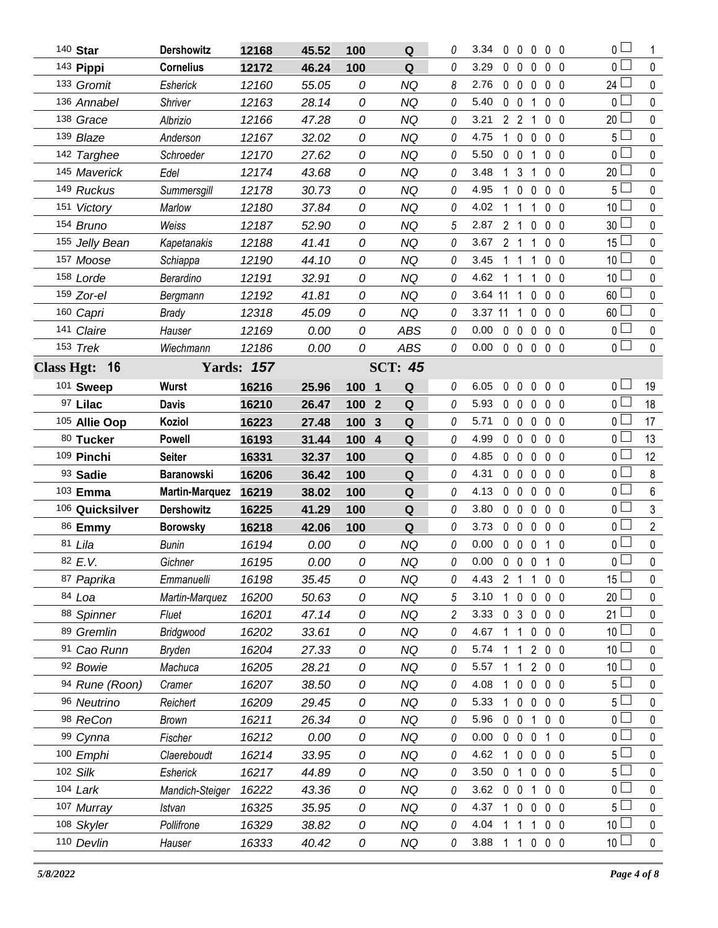| 140 Star        | <b>Dershowitz</b>     | 12168             | 45.52 | 100                            | ${\bf Q}$      | 0              | 3.34<br>$\mathbf 0$    | $0\quad 0$                    |                   | $0\quad 0$     | $\overline{0}$  |                |
|-----------------|-----------------------|-------------------|-------|--------------------------------|----------------|----------------|------------------------|-------------------------------|-------------------|----------------|-----------------|----------------|
| 143 Pippi       | <b>Cornelius</b>      | 12172             | 46.24 | 100                            | Q              | 0              | 3.29<br>$\mathbf 0$    | $\mathbf 0$<br>0              |                   | 0 <sub>0</sub> | 0 <sub>1</sub>  | $\mathbf 0$    |
| 133 Gromit      | Esherick              | 12160             | 55.05 | 0                              | <b>NQ</b>      | 8              | $\mathbf 0$<br>2.76    | $\mathbf 0$<br>$\mathbf 0$    |                   | 0 <sub>0</sub> | 24 $\Box$       | 0              |
| 136 Annabel     | Shriver               | 12163             | 28.14 | 0                              | <b>NQ</b>      | 0              | 5.40<br>$0\quad 0$     | $\mathbf 1$                   |                   | 0 <sub>0</sub> | 0 <sub>1</sub>  | 0              |
| 138 Grace       | Albrizio              | 12166             | 47.28 | 0                              | <b>NQ</b>      | 0              | 3.21<br>2 <sub>2</sub> | $\overline{1}$                |                   | 0 <sub>0</sub> | $20$ $\Box$     | 0              |
| 139 Blaze       | Anderson              | 12167             | 32.02 | 0                              | <b>NQ</b>      | 0              | 4.75<br>$\mathbf 1$    | $\mathbf 0$<br>$\mathbf 0$    |                   | 0 <sub>0</sub> | 5 <sup>L</sup>  | $\pmb{0}$      |
| 142 Targhee     | Schroeder             | 12170             | 27.62 | 0                              | <b>NQ</b>      | 0              | 5.50<br>$0\quad 0$     | 1                             |                   | 0 <sub>0</sub> | 0 l             | 0              |
| 145 Maverick    | Edel                  | 12174             | 43.68 | 0                              | <b>NQ</b>      | 0              | 3.48<br>$\mathbf 1$    | $\mathbf{3}$<br>1             |                   | 0 <sub>0</sub> | 20 <sup>2</sup> | 0              |
| 149 Ruckus      | Summersgill           | 12178             | 30.73 | 0                              | <b>NQ</b>      | 0              | 4.95<br>1              | $\mathbf 0$<br>0              |                   | 0 <sub>0</sub> | 5 L             | 0              |
| 151 Victory     | Marlow                | 12180             | 37.84 | 0                              | <b>NQ</b>      | 0              | 4.02                   | $\overline{1}$<br>1           |                   | 0 <sub>0</sub> | 10 <sup>1</sup> | 0              |
| 154 Bruno       | Weiss                 | 12187             | 52.90 | 0                              | <b>NQ</b>      | 5              | 2 <sub>1</sub><br>2.87 | 0                             |                   | 0 <sub>0</sub> | 30 <sup>1</sup> | 0              |
| 155 Jelly Bean  | Kapetanakis           | 12188             | 41.41 | 0                              | <b>NQ</b>      | 0              | 3.67<br>2 <sub>1</sub> | 1                             |                   | 0 <sub>0</sub> | $15\perp$       | $\pmb{0}$      |
| 157 Moose       | Schiappa              | 12190             | 44.10 | 0                              | <b>NQ</b>      | 0              | 3.45<br>1              | $\mathbf{1}$<br>1             |                   | 0 <sub>0</sub> | 10 <sup>L</sup> | $\mathbf 0$    |
| 158 Lorde       | Berardino             | 12191             | 32.91 | 0                              | <b>NQ</b>      | 0              | 4.62<br>1              | $\overline{1}$<br>-1          |                   | 0 <sub>0</sub> | 10 <sup>1</sup> | 0              |
| 159 Zor-el      | Bergmann              | 12192             | 41.81 | 0                              | <b>NQ</b>      | 0              | 3.64 11                | $\mathbf 0$<br>$\overline{1}$ |                   | 0 <sub>0</sub> | $60 -$          | $\mathbf 0$    |
| 160 Capri       | <b>Brady</b>          | 12318             | 45.09 | 0                              | <b>NQ</b>      | 0              | 3.37 11                | $\mathbf 0$<br>$\overline{1}$ |                   | $0\quad 0$     | $60$ $\Box$     | $\pmb{0}$      |
| 141 Claire      | Hauser                | 12169             | 0.00  | 0                              | <b>ABS</b>     | 0              | 0.00<br>$0\quad 0$     | $\mathbf 0$                   |                   | 0 <sub>0</sub> | 0 <sub>0</sub>  | $\mathbf 0$    |
| 153 Trek        | Wiechmann             | 12186             | 0.00  | 0                              | <b>ABS</b>     | 0              | 0.00                   | 0 0 0 0 0                     |                   |                | 0 <sup>1</sup>  | $\mathbf 0$    |
| Class Hgt: 16   |                       | <b>Yards: 157</b> |       |                                | <b>SCT: 45</b> |                |                        |                               |                   |                |                 |                |
| 101 Sweep       | Wurst                 | 16216             | 25.96 | 100<br>$\overline{\mathbf{1}}$ | Q              | 0              | 6.05                   | 00000                         |                   |                | 0 <sub>0</sub>  | 19             |
| 97 Lilac        | <b>Davis</b>          | 16210             | 26.47 | 100<br>$\overline{2}$          | Q              | 0              | 5.93<br>$0\quad 0$     | $\mathbf 0$                   |                   | 0 <sub>0</sub> | 0 <sub>1</sub>  | 18             |
| 105 Allie Oop   | Koziol                | 16223             | 27.48 | 100<br>3                       | Q              | 0              | $0\quad 0$<br>5.71     | $\mathbf 0$                   |                   | $0\quad 0$     | 0 L             | 17             |
| 80 Tucker       | <b>Powell</b>         | 16193             | 31.44 | 100 4                          | Q              | 0              | $0\quad 0$<br>4.99     | $\mathbf 0$                   |                   | 0 <sub>0</sub> | 0 <sub>0</sub>  | 13             |
| 109 Pinchi      | <b>Seiter</b>         | 16331             | 32.37 | 100                            | ${\bf Q}$      | 0              | 4.85<br>$0\quad 0$     | $\mathbf 0$                   |                   | $0\quad 0$     | 0 L             | 12             |
| 93 Sadie        | <b>Baranowski</b>     | 16206             | 36.42 | 100                            | ${\bf Q}$      | 0              | 4.31<br>$0\quad 0$     | $\mathbf 0$                   |                   | $0\quad 0$     | $0-$            | $\,8\,$        |
| 103 Emma        | <b>Martin-Marquez</b> | 16219             | 38.02 | 100                            | Q              | 0              | 4.13<br>$0\quad 0$     | $\mathbf 0$                   |                   | $0\quad 0$     | 0 <sub>0</sub>  | 6              |
| 106 Quicksilver | <b>Dershowitz</b>     | 16225             | 41.29 | 100                            | Q              | 0              | 3.80<br>$0\quad 0$     | $\mathbf 0$                   |                   | 0 <sub>0</sub> | 0 <sup>1</sup>  | $\mathfrak{Z}$ |
| 86 Emmy         | <b>Borowsky</b>       | 16218             | 42.06 | 100                            | Q              | 0              | 3.73<br>$0\quad 0$     | $\mathbf 0$                   |                   | 0 <sub>0</sub> | 0 <sub>0</sub>  | $\overline{2}$ |
| 81 Lila         | <b>Bunin</b>          | 16194             | 0.00  | 0                              | <b>NQ</b>      | 0              | 0.00<br>$0\quad 0$     | $\mathbf 0$                   |                   | $1\quad0$      | 0 <sup>1</sup>  | $\pmb{0}$      |
| 82 E.V.         | Gichner               | 16195             | 0.00  | 0                              | <b>NQ</b>      | 0              | 0.00 0 0 0 1 0         |                               |                   |                | 0 <sup>1</sup>  | $\Omega$       |
| 87 Paprika      | Emmanuelli            | 16198             | 35.45 | 0                              | NQ             | 0              | 4.43 2 1 1             |                               |                   | $0\quad 0$     | 15 $\Box$       | $\mathbf 0$    |
| 84 Loa          | Martin-Marquez        | 16200             | 50.63 | 0                              | <b>NQ</b>      | 5              | 3.10<br>1 0            | $\mathbf 0$                   |                   | $0\quad 0$     | 20 <sup>1</sup> | 0              |
| 88 Spinner      | Fluet                 | 16201             | 47.14 | 0                              | <b>NQ</b>      | $\overline{c}$ | 3.33<br>0 <sup>3</sup> | $\mathbf 0$                   |                   | 0 <sub>0</sub> | 21 <sup>1</sup> | 0              |
| 89 Gremlin      | Bridgwood             | 16202             | 33.61 | 0                              | <b>NQ</b>      | 0              | 4.67<br>$1\quad1$      |                               | $0\quad 0\quad 0$ |                | 10 <sup>L</sup> | 0              |
| 91 Cao Runn     | Bryden                | 16204             | 27.33 | 0                              | <b>NQ</b>      | 0              | 5.74<br>1              | -1                            | 200               |                | 10 <sup>L</sup> | 0              |
| 92 Bowie        | Machuca               | 16205             | 28.21 | 0                              | <b>NQ</b>      | 0              | 5.57<br>11             |                               | 200               |                | 10 $\lfloor$    | 0              |
| 94 Rune (Roon)  | Cramer                | 16207             | 38.50 | 0                              | <b>NQ</b>      | 0              | 4.08                   | $\mathbf 0$<br>$\mathbf 0$    |                   | $0\quad 0$     | $5+$            | 0              |
| 96 Neutrino     | Reichert              | 16209             | 29.45 | 0                              | NQ             | 0              | 5.33                   | $\mathbf{0}$<br>$\mathbf 0$   |                   | $0\quad 0$     | 5 <sup>1</sup>  | 0              |
| 98 ReCon        | Brown                 | 16211             | 26.34 | 0                              | <b>NQ</b>      | 0              | 5.96<br>$0\quad 0$     | $\overline{1}$                |                   | $0\quad 0$     | 0 <sup>1</sup>  | 0              |
| 99 Cynna        | Fischer               | 16212             | 0.00  | 0                              | NQ             | 0              | 0.00                   | $0\quad 0\quad 0$             |                   | $1\quad0$      | 0 <sub>0</sub>  | 0              |
| 100 Emphi       | Claereboudt           | 16214             | 33.95 | 0                              | <b>NQ</b>      | 0              | 4.62<br>$1\quad0$      | $\mathbf 0$                   |                   | $0\quad 0$     | $5\perp$        | 0              |
| 102 Silk        | Esherick              | 16217             | 44.89 | 0                              | NQ             | 0              | 3.50<br>0 <sub>1</sub> | $\mathbf 0$                   |                   | 0 <sub>0</sub> | 5 <sup>L</sup>  | 0              |
| $104$ Lark      | Mandich-Steiger       | 16222             | 43.36 | 0                              | <b>NQ</b>      | 0              | 3.62<br>$0\quad 0$     | $\mathbf{1}$                  |                   | $0\quad 0$     | 0 <sub>0</sub>  | 0              |
| 107 Murray      | Istvan                | 16325             | 35.95 | 0                              | NQ             | 0              | 4.37<br>1 0            | $\mathbf 0$                   |                   | 0 <sub>0</sub> | 5 <sup>1</sup>  | 0              |
| 108 Skyler      | Pollifrone            | 16329             | 38.82 | 0                              | <b>NQ</b>      | 0              | 4.04                   | $\mathbf{1}$<br>1             |                   | 0 <sub>0</sub> | 10 $\lfloor$    | $\pmb{0}$      |
| 110 Devlin      | Hauser                | 16333             | 40.42 | 0                              | NQ             | 0              | 3.88                   | 1 1 0 0 0                     |                   |                | 10 <sup>2</sup> | $\pmb{0}$      |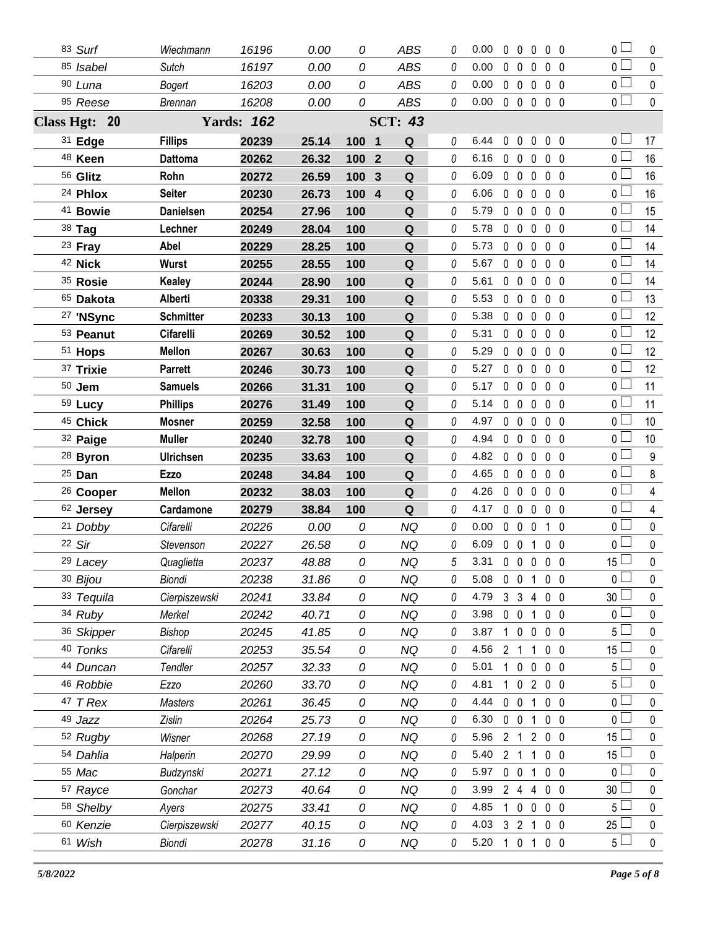| 83 Surf              | Wiechmann        | 16196             | 0.00  | 0        | <b>ABS</b>     | 0        | 0.00 |             |                   |                   | 00000                           | $\overline{0}$        | 0           |
|----------------------|------------------|-------------------|-------|----------|----------------|----------|------|-------------|-------------------|-------------------|---------------------------------|-----------------------|-------------|
| 85 Isabel            | Sutch            | 16197             | 0.00  | 0        | <b>ABS</b>     | 0        | 0.00 |             |                   | $0\quad 0\quad 0$ | $0\quad 0$                      | 0 <sub>l</sub>        | $\mathbf 0$ |
| 90 Luna              | Bogert           | 16203             | 0.00  | 0        | <b>ABS</b>     | 0        | 0.00 |             | 0 <sub>0</sub>    | $\mathbf 0$       | $0\quad 0$                      | 0 <sub>0</sub>        | $\pmb{0}$   |
| 95 Reese             | <b>Brennan</b>   | 16208             | 0.00  | 0        | <b>ABS</b>     | 0        | 0.00 |             |                   |                   | $0\quad 0\quad 0\quad 0\quad 0$ | $\overline{0}$        | $\mathbf 0$ |
| Class Hgt: 20        |                  | <b>Yards: 162</b> |       |          | <b>SCT: 43</b> |          |      |             |                   |                   |                                 |                       |             |
| 31 Edge              | <b>Fillips</b>   | 20239             | 25.14 | 100 1    | Q              | 0        | 6.44 |             |                   |                   | 00000                           | $0 -$                 | 17          |
| 48 Keen              | <b>Dattoma</b>   | 20262             | 26.32 | 100 2    | Q              | $\theta$ | 6.16 |             |                   | $0\quad 0\quad 0$ | $0\quad 0$                      | 0 <sub>1</sub>        | 16          |
| 56 Glitz             | Rohn             | 20272             | 26.59 | 100<br>3 | Q              | 0        | 6.09 |             | 0 <sub>0</sub>    | $\mathbf{0}$      | 0 <sub>0</sub>                  | 0 <sub>1</sub>        | 16          |
| <sup>24</sup> Phlox  | <b>Seiter</b>    | 20230             | 26.73 | 100 4    | Q              | 0        | 6.06 |             | $0\quad 0$        | $\mathbf 0$       | $0\quad 0$                      | 0 <sub>0</sub>        | 16          |
| 41 Bowie             | <b>Danielsen</b> | 20254             | 27.96 | 100      | Q              | 0        | 5.79 |             | $0\quad 0$        | $\mathbf 0$       | 0 <sub>0</sub>                  | 0 L                   | 15          |
| 38 Tag               | Lechner          | 20249             | 28.04 | 100      | ${\bf Q}$      | 0        | 5.78 |             | $0\quad 0$        | $\mathbf 0$       | 0 <sub>0</sub>                  | $\overline{0}$        | 14          |
| 23 Fray              | Abel             | 20229             | 28.25 | 100      | Q              | 0        | 5.73 |             | $0\quad 0$        | $\mathbf 0$       | $0\quad 0$                      | 0 <sub>0</sub>        | 14          |
| 42 Nick              | Wurst            | 20255             | 28.55 | 100      | $\mathbf Q$    | 0        | 5.67 |             | $0\quad 0$        | $\mathbf 0$       | $0\quad 0$                      | 0 <sub>0</sub>        | 14          |
| 35 Rosie             | <b>Kealey</b>    | 20244             | 28.90 | 100      | Q              | 0        | 5.61 |             | 0 <sub>0</sub>    | $\mathbf 0$       | 0 <sub>0</sub>                  | 0 <sub>0</sub>        | 14          |
| 65 Dakota            | Alberti          | 20338             | 29.31 | 100      | Q              | 0        | 5.53 |             | $0\quad 0$        | 0                 | 0 <sub>0</sub>                  | 0 <sub>0</sub>        | 13          |
| 27 'NSync            | <b>Schmitter</b> | 20233             | 30.13 | 100      | Q              | 0        | 5.38 |             | $0\quad 0$        | $\mathbf{0}$      | 0 <sub>0</sub>                  | 0 L                   | 12          |
| 53 Peanut            | <b>Cifarelli</b> | 20269             | 30.52 | 100      | Q              | 0        | 5.31 |             | $0\quad 0$        | $\mathbf 0$       | 0 <sub>0</sub>                  | 0 L                   | 12          |
| 51 Hops              | <b>Mellon</b>    | 20267             | 30.63 | 100      | Q              | 0        | 5.29 |             | $0\quad 0$        | 0                 | 0 <sub>0</sub>                  | 0 l                   | 12          |
| 37 Trixie            | <b>Parrett</b>   | 20246             | 30.73 | 100      | Q              | 0        | 5.27 |             | $0\quad 0$        | $\mathbf 0$       | 0 <sub>0</sub>                  | 0 L                   | 12          |
| $50$ Jem             | <b>Samuels</b>   | 20266             | 31.31 | 100      | Q              | 0        | 5.17 |             | $0\quad 0$        | $\mathbf{0}$      | 0 <sub>0</sub>                  | 0 <sub>0</sub>        | 11          |
| 59 Lucy              | <b>Phillips</b>  | 20276             | 31.49 | 100      | $\mathbf Q$    | $\theta$ | 5.14 |             | $0\quad 0$        | $\mathbf 0$       | $0\quad 0$                      | 0 <sub>1</sub>        | 11          |
| <sup>45</sup> Chick  | <b>Mosner</b>    | 20259             | 32.58 | 100      | Q              | 0        | 4.97 |             | $0\quad 0$        | $\mathbf 0$       | 0 <sub>0</sub>                  | 0 L                   | 10          |
| 32 Paige             | <b>Muller</b>    | 20240             | 32.78 | 100      | Q              | 0        | 4.94 |             | $0\quad 0$        | $\mathbf 0$       | 0 <sub>0</sub>                  | 0 <sub>1</sub>        | 10          |
| <sup>28</sup> Byron  | Ulrichsen        | 20235             | 33.63 | 100      | Q              | 0        | 4.82 |             | 0 <sub>0</sub>    | 0                 | 0 <sub>0</sub>                  | $\overline{0}$        | 9           |
| 25 Dan               | Ezzo             | 20248             | 34.84 | 100      | Q              | 0        | 4.65 |             | $0\quad 0$        | $\mathbf 0$       | 0 <sub>0</sub>                  | 0 <sub>0</sub>        | 8           |
| <sup>26</sup> Cooper | <b>Mellon</b>    | 20232             | 38.03 | 100      | Q              | 0        | 4.26 |             | 0 <sub>0</sub>    | $\mathbf 0$       | 0 <sub>0</sub>                  | 0 l                   | 4           |
| 62 Jersey            | Cardamone        | 20279             | 38.84 | 100      | Q              | 0        | 4.17 |             | $0\quad 0\quad 0$ |                   | 0 <sub>0</sub>                  | 0 <sub>0</sub>        | 4           |
| 21 Dobby             | Cifarelli        | 20226             | 0.00  | 0        | ΝQ             | 0        | 0.00 |             | $0\quad 0\quad 0$ |                   | 1 0                             | $\overline{0}$ $\Box$ | 0           |
| 22 Sir               | Stevenson        | 20227             | 26.58 | 0        | <b>NQ</b>      | $\theta$ | 6.09 |             |                   | $0 \t0 \t1$       | 0 <sub>0</sub>                  | 0 <sub>0</sub>        | $\mathbf 0$ |
| 29 Lacey             | Quaglietta       | 20237             | 48.88 | 0        | NQ             | 5        | 3.31 |             |                   |                   | $0\quad 0\quad 0\quad 0\quad 0$ | $15\Box$              | $\pmb{0}$   |
| 30 Bijou             | Biondi           | 20238             | 31.86 | 0        | <b>NQ</b>      | 0        | 5.08 |             |                   |                   | 0 0 1 0 0                       | $\overline{0}$        | 0           |
| 33 Tequila           | Cierpiszewski    | 20241             | 33.84 | 0        | <b>NQ</b>      | 0        | 4.79 |             | 3 <sup>3</sup>    | 4                 | 0 <sub>0</sub>                  | 30                    | 0           |
| 34 Ruby              | Merkel           | 20242             | 40.71 | 0        | <b>NQ</b>      | 0        | 3.98 |             | $0\quad 0$        | $\mathbf{1}$      | $0\quad 0$                      | 0 l                   | 0           |
| 36 Skipper           | <b>Bishop</b>    | 20245             | 41.85 | 0        | <b>NQ</b>      | 0        | 3.87 | 1.          | $\mathbf 0$       | $\mathbf 0$       | $0\quad 0$                      | 5 l                   | 0           |
| 40 Tonks             | Cifarelli        | 20253             | 35.54 | 0        | NQ             | 0        | 4.56 |             | 2 <sub>1</sub>    | 1                 | 0 <sub>0</sub>                  | 15 <sup>1</sup>       | 0           |
| 44 Duncan            | Tendler          | 20257             | 32.33 | 0        | <b>NQ</b>      | 0        | 5.01 | 1.          | $\mathbf 0$       | $\mathbf 0$       | $0\quad 0$                      | 5 <sup>1</sup>        | 0           |
| 46 Robbie            | Ezzo             | 20260             | 33.70 | 0        | <b>NQ</b>      | 0        | 4.81 | $\mathbf 1$ | $\mathbf 0$       |                   | 200                             | 5 <sup>1</sup>        | 0           |
| 47 T Rex             | <b>Masters</b>   | 20261             | 36.45 | 0        | <b>NQ</b>      | 0        | 4.44 |             | $0\quad 0$        | 1                 | $0\quad 0$                      | 0 L                   | 0           |
| 49 Jazz              | Zislin           | 20264             | 25.73 | 0        | <b>NQ</b>      | 0        | 6.30 |             | $0\quad 0$        | $\mathbf{1}$      | $0\quad 0$                      | 0 <sup>1</sup>        | $\mathbf 0$ |
| 52 Rugby             | Wisner           | 20268             | 27.19 | 0        | <b>NQ</b>      | 0        | 5.96 |             |                   |                   | 2 1 2 0 0                       | 15 <sup>L</sup>       | 0           |
| 54 Dahlia            | Halperin         | 20270             | 29.99 | 0        | <b>NQ</b>      | 0        | 5.40 |             | 2 <sub>1</sub>    | 1                 | $0\quad 0$                      | 15                    | $\mathbf 0$ |
| 55 Mac               | Budzynski        | 20271             | 27.12 | 0        | <b>NQ</b>      | 0        | 5.97 |             | $0\quad 0$        | 1                 | 0 <sub>0</sub>                  | 0                     | 0           |
| 57 Rayce             | Gonchar          | 20273             | 40.64 | 0        | <b>NQ</b>      | 0        | 3.99 |             | $2\quad 4$        | 4                 | $0\quad 0$                      | 30                    | 0           |
|                      |                  |                   |       |          |                |          |      |             |                   |                   |                                 |                       |             |
| 58 Shelby            | Ayers            | 20275             | 33.41 | 0        | <b>NQ</b>      | 0        | 4.85 |             | $1\quad 0$        | $\mathbf 0$       | $0\quad 0$                      | 5 l                   | 0           |
| 60 Kenzie            | Cierpiszewski    | 20277             | 40.15 | 0        | <b>NQ</b>      | 0        | 4.03 |             | 3 <sub>2</sub>    | 1                 | $0\quad 0$                      | 25                    | 0           |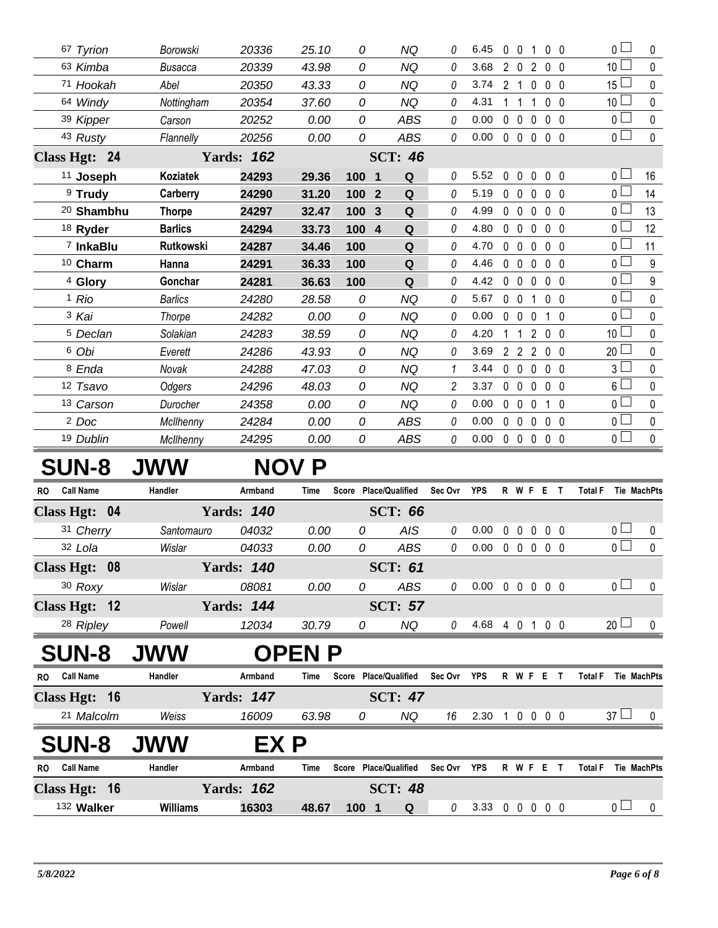| 67 Tyrion            |                       | Borowski         | 20336             | 25.10 | 0                              | <b>NQ</b>      | 0              | 6.45 | $\mathbf{0}$<br>$\Omega$         | $\mathbf{1}$                 | 0 <sub>0</sub> | $_0$ $\square$  | 0                |
|----------------------|-----------------------|------------------|-------------------|-------|--------------------------------|----------------|----------------|------|----------------------------------|------------------------------|----------------|-----------------|------------------|
| 63 Kimba             |                       | <b>Busacca</b>   | 20339             | 43.98 | 0                              | <b>NQ</b>      | 0              | 3.68 | $\overline{2}$<br>$\overline{0}$ | $\overline{2}$               | 0 <sub>0</sub> | 10 <sup>1</sup> | 0                |
| 71 Hookah            |                       | Abel             | 20350             | 43.33 | 0                              | <b>NQ</b>      | 0              | 3.74 | 2 <sub>1</sub>                   | $\Omega$                     | 0 <sub>0</sub> | $15\Box$        | 0                |
| 64 Windy             |                       | Nottingham       | 20354             | 37.60 | 0                              | <b>NQ</b>      | 0              | 4.31 | 1<br>-1                          | $\Omega$<br>1                | $\overline{0}$ | 10 <sup>1</sup> | 0                |
| 39 Kipper            |                       | Carson           | 20252             | 0.00  | 0                              | <b>ABS</b>     | 0              | 0.00 | $\mathbf 0$<br>$\mathbf 0$       | $\mathbf 0$                  | 0 <sub>0</sub> | $\overline{0}$  | 0                |
| 43 Rusty             |                       | Flannelly        | 20256             | 0.00  | 0                              | <b>ABS</b>     | 0              | 0.00 | $\mathbf 0$<br>$\overline{0}$    | 0                            | 0 <sub>0</sub> | $\overline{0}$  | $\mathbf 0$      |
| Class Hgt: 24        |                       |                  | <b>Yards: 162</b> |       |                                | <b>SCT: 46</b> |                |      |                                  |                              |                |                 |                  |
| <sup>11</sup> Joseph |                       | Koziatek         | 24293             | 29.36 | 100<br>$\overline{\mathbf{1}}$ | Q              | 0              | 5.52 | $\mathbf 0$<br>$\mathbf{0}$      | $\mathbf 0$                  | 0 <sub>0</sub> | $\overline{0}$  | 16               |
| <sup>9</sup> Trudy   |                       | Carberry         | 24290             | 31.20 | 100<br>$\overline{2}$          | $\mathbf Q$    | 0              | 5.19 | $\mathbf 0$<br>$\Omega$          | $\mathbf 0$                  | 0 <sub>0</sub> | $\overline{0}$  | 14               |
|                      | <sup>20</sup> Shambhu | <b>Thorpe</b>    | 24297             | 32.47 | 100<br>$\mathbf{3}$            | Q              | 0              | 4.99 | $\Omega$<br>$\Omega$             | $\Omega$                     | 0 <sub>0</sub> | $\overline{0}$  | 13               |
| 18 Ryder             |                       | <b>Barlics</b>   | 24294             | 33.73 | 100<br>$\overline{4}$          | Q              | 0              | 4.80 | $\Omega$<br>$\Omega$             | $\mathbf 0$                  | 0 <sub>0</sub> | $\overline{0}$  | 12               |
|                      | 7 InkaBlu             | <b>Rutkowski</b> | 24287             | 34.46 | 100                            | Q              | 0              | 4.70 | $\Omega$<br>$\mathsf{O}$         | $\Omega$                     | 0 <sub>0</sub> | $\overline{0}$  | 11               |
| 10 Charm             |                       | Hanna            | 24291             | 36.33 | 100                            | ${\bf Q}$      | 0              | 4.46 | $\mathbf 0$<br>$\Omega$          | 0                            | 0 <sub>0</sub> | $\overline{0}$  | 9                |
| 4 Glory              |                       | Gonchar          | 24281             | 36.63 | 100                            | Q              | 0              | 4.42 | $\Omega$<br>$\mathsf{O}$         | $\Omega$                     | 0 <sub>0</sub> | $\overline{0}$  | $\boldsymbol{9}$ |
| <sup>1</sup> Rio     |                       | <b>Barlics</b>   | 24280             | 28.58 | 0                              | <b>NQ</b>      | 0              | 5.67 | $\mathbf 0$<br>$\mathbf{0}$      | 1                            | 0 <sub>0</sub> | $\overline{0}$  | $\mathbf 0$      |
| 3 Kai                |                       | Thorpe           | 24282             | 0.00  | 0                              | <b>NQ</b>      | 0              | 0.00 | 0<br>$\Omega$                    | 0                            | - 0            | $\overline{0}$  | 0                |
| <sup>5</sup> Declan  |                       | Solakian         | 24283             | 38.59 | 0                              | <b>NQ</b>      | 0              | 4.20 |                                  | 2<br>$\mathbf 0$             | 0              | 10 <sup>1</sup> | 0                |
| 6 Obi                |                       | Everett          | 24286             | 43.93 | 0                              | <b>NQ</b>      | 0              | 3.69 | $\overline{2}$<br>$\overline{2}$ | $\overline{2}$               | 0 <sub>0</sub> | $20 \Box$       | 0                |
| <sup>8</sup> Enda    |                       | Novak            | 24288             | 47.03 | 0                              | <b>NQ</b>      | 1              | 3.44 | $\mathbf 0$<br>$\mathbf 0$       | $\mathbf 0$                  | 0 <sub>0</sub> | 3 <sup>1</sup>  | 0                |
| 12 Tsavo             |                       | Odgers           | 24296             | 48.03 | 0                              | <b>NQ</b>      | $\overline{c}$ | 3.37 | 0<br>$\mathbf 0$                 | $\mathbf 0$                  | 0 <sub>0</sub> | $6\Box$         | 0                |
| 13 Carson            |                       | Durocher         | 24358             | 0.00  | 0                              | <b>NQ</b>      | 0              | 0.00 | $\mathbf 0$<br>$\mathbf 0$       | $\mathbf{0}$<br>$\mathbf{1}$ | $\overline{0}$ | $\overline{0}$  | $\pmb{0}$        |
| <sup>2</sup> Doc     |                       | McIlhenny        | 24284             | 0.00  | 0                              | <b>ABS</b>     | 0              | 0.00 | $\mathbf 0$<br>$\overline{0}$    | $\mathbf 0$                  | 0 <sub>0</sub> | $\overline{0}$  | $\mathbf 0$      |
| 19 Dublin            |                       | McIlhenny        | 24295             | 0.00  | 0                              | <b>ABS</b>     | 0              | 0.00 | $0\quad 0$                       | $\mathbf 0$                  | $0\quad 0$     | $\overline{0}$  | $\pmb{0}$        |
| <b>SUN-8</b>         |                       | <b>JWW</b>       |                   | NOV P |                                |                |                |      |                                  |                              |                |                 |                  |

## **SUN-8 JWW NOV P**

| <b>RO</b> | <b>Call Name</b>     | Handler         | Armband           | <b>Time</b>  |   | Score Place/Qualified | Sec Ovr | <b>YPS</b> | R W            |              | -F           | Е |                | <b>Total F</b>       | <b>Tie MachPts</b> |
|-----------|----------------------|-----------------|-------------------|--------------|---|-----------------------|---------|------------|----------------|--------------|--------------|---|----------------|----------------------|--------------------|
|           | Class Hgt: 04        |                 | <b>Yards: 140</b> |              |   | <b>SCT: 66</b>        |         |            |                |              |              |   |                |                      |                    |
|           | 31 Cherry            | Santomauro      | 04032             | 0.00         |   | <b>AIS</b><br>0       | 0       | 0.00       | $\Omega$       | $\mathbf{0}$ | 0            |   | 0 <sub>0</sub> | 0 <sub>1</sub>       | 0                  |
|           | 32 Lola              | Wislar          | 04033             | 0.00         |   | ABS<br>0              | 0       | 0.00       | $\Omega$       | 0            | $\mathbf{0}$ |   | $0\quad 0$     | 0 <sub>0</sub>       | 0                  |
|           | Class Hgt: 08        |                 | <b>Yards: 140</b> |              |   | <b>SCT: 61</b>        |         |            |                |              |              |   |                |                      |                    |
|           | 30 Roxy              | Wislar          | 08081             | 0.00         |   | ABS<br>0              | 0       | $0.00\,$   | 0              | $\mathbf 0$  | $\mathbf 0$  |   | 0 <sub>0</sub> | 0 <sub>1</sub>       | 0                  |
|           | Class Hgt: 12        |                 | <b>Yards: 144</b> |              |   | <b>SCT: 57</b>        |         |            |                |              |              |   |                |                      |                    |
|           | <sup>28</sup> Ripley | Powell          | 12034             | 30.79        | 0 | <b>NQ</b>             | 0       | 4.68       | 4              | $\mathbf 0$  | 1            |   | 0 <sub>0</sub> | 20 <sup>L</sup>      | 0                  |
|           | <b>SUN-8</b>         | <b>JWW</b>      |                   | <b>OPENP</b> |   |                       |         |            |                |              |              |   |                |                      |                    |
| <b>RO</b> | <b>Call Name</b>     | Handler         | Armband           | Time         |   | Score Place/Qualified | Sec Ovr | <b>YPS</b> |                | R W F        |              | Е |                | <b>Total F</b>       | <b>Tie MachPts</b> |
|           | Class Hgt: 16        |                 | <b>Yards: 147</b> |              |   | <b>SCT: 47</b>        |         |            |                |              |              |   |                |                      |                    |
|           | 21 Malcolm           | Weiss           | 16009             | 63.98        | 0 | NQ                    | 16      | 2.30       | $\overline{1}$ |              | $0\ 0\ 0\ 0$ |   |                | 37 <sup>1</sup><br>L | $\Omega$           |
|           | <b>SUN-8</b>         | <b>JWW</b>      | EX P              |              |   |                       |         |            |                |              |              |   |                |                      |                    |
| <b>RO</b> | <b>Call Name</b>     | Handler         | Armband           | <b>Time</b>  |   | Score Place/Qualified | Sec Ovr | <b>YPS</b> |                | R W F        |              | E | $\mathbf{T}$   | <b>Total F</b>       | <b>Tie MachPts</b> |
|           | Class Hgt: 16        |                 | <b>Yards: 162</b> |              |   | <b>SCT: 48</b>        |         |            |                |              |              |   |                |                      |                    |
|           | 132 Walker           | <b>Williams</b> | 16303             | 48.67        |   | 1001<br>Q             | 0       | 3.33       | $\mathbf{0}$   | $\mathbf{0}$ | $\mathbf 0$  |   | 0 <sub>0</sub> | 0 l                  | 0                  |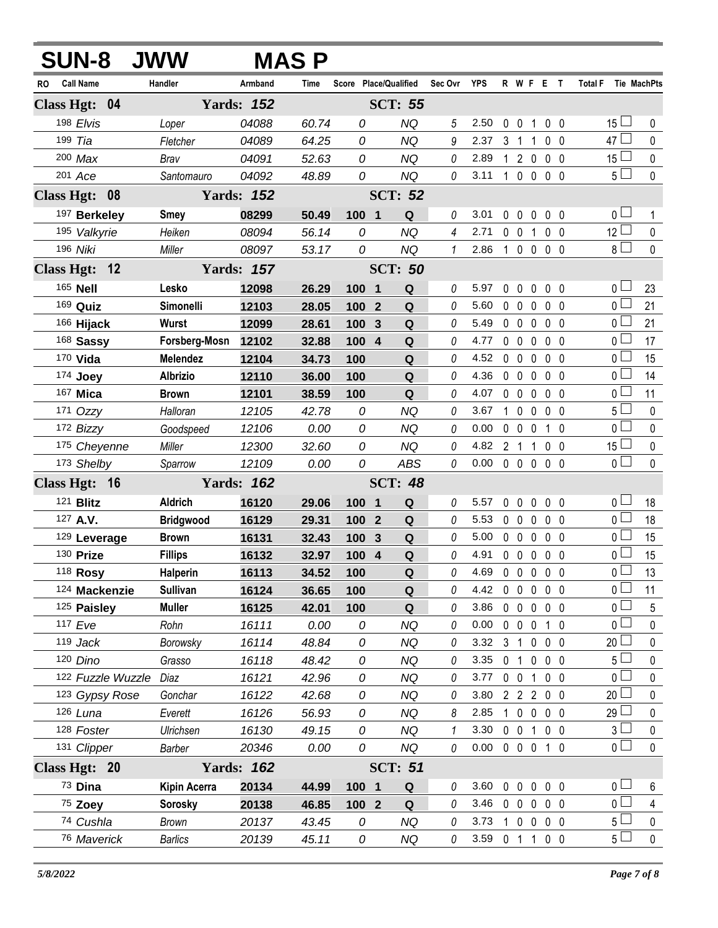| <b>SUN-8 JWW</b>                                |                  |                   | <b>MAS P</b> |                  |                                      |               |                |              |                   |                   |                |                     |             |
|-------------------------------------------------|------------------|-------------------|--------------|------------------|--------------------------------------|---------------|----------------|--------------|-------------------|-------------------|----------------|---------------------|-------------|
| <b>Call Name</b><br>RO                          | Handler          | Armband           | Time         |                  | Score Place/Qualified                | Sec Ovr YPS   |                |              |                   | R W F E T         |                | Total F Tie MachPts |             |
| Class Hgt: 04                                   |                  | <b>Yards: 152</b> |              |                  | <b>SCT: 55</b>                       |               |                |              |                   |                   |                |                     |             |
| 198 Elvis                                       | Loper            | 04088             | 60.74        | 0                | <b>NQ</b>                            | 5             | 2.50           | 0            | $\mathbf 0$       | 1                 | 0 <sub>0</sub> | 15 $\Box$           | 0           |
| 199 Tia                                         | Fletcher         | 04089             | 64.25        | 0                | <b>NQ</b>                            | 9             | 2.37           | 3            | $\mathbf{1}$      | 1                 | $0\quad 0$     | $47 \Box$           | 0           |
| $200$ Max                                       | Brav             | 04091             | 52.63        | 0                | <b>NQ</b>                            | 0             | 2.89           | $\mathbf{1}$ | $\overline{2}$    | $\mathbf 0$       | 0 <sub>0</sub> | $15\perp$           | $\pmb{0}$   |
| 201 Ace                                         | Santomauro       | 04092             | 48.89        | 0                | <b>NQ</b>                            | 0             | 3.11           |              | $100$             |                   | 0 <sub>0</sub> | $5\Box$             | $\mathbf 0$ |
| <b>Class Hgt:</b><br>$\overline{\phantom{0}08}$ |                  | <b>Yards: 152</b> |              |                  | <b>SCT: 52</b>                       |               |                |              |                   |                   |                |                     |             |
| 197 Berkeley                                    | <b>Smey</b>      | 08299             | 50.49        | 100              | ${\bf Q}$<br>$\overline{\mathbf{1}}$ | 0             | 3.01           | 0            | $\mathbf 0$       | 0                 | 0 <sub>0</sub> | 0 <sub>0</sub>      | 1           |
| 195 Valkyrie                                    | Heiken           | 08094             | 56.14        | 0                | <b>NQ</b>                            | 4             | 2.71           |              | $0\quad 0$        | 1                 | 0 <sub>0</sub> | $12\Box$            | $\pmb{0}$   |
| 196 Niki                                        | Miller           | 08097             | 53.17        | 0                | <b>NQ</b>                            | $\mathcal{I}$ | 2.86           |              | $1 0 0$           |                   | 0 <sub>0</sub> | $8\Box$             | $\mathbf 0$ |
| Class Hgt: 12                                   |                  | <b>Yards: 157</b> |              |                  | <b>SCT: 50</b>                       |               |                |              |                   |                   |                |                     |             |
| 165 Nell                                        | Lesko            | 12098             | 26.29        | 100 1            | Q                                    | 0             | 5.97           | 0            | $\mathbf{0}$      | 0                 | 0 <sub>0</sub> | 0 <sub>1</sub>      | 23          |
| 169 Quiz                                        | Simonelli        | 12103             | 28.05        | 100              | $\overline{2}$<br>Q                  | 0             | 5.60           | $\mathbf 0$  | $\mathbf 0$       | 0                 | 0 <sub>0</sub> | 0 <sup>1</sup>      | 21          |
| 166 Hijack                                      | Wurst            | 12099             | 28.61        | 100              | $\mathbf{3}$<br>Q                    | 0             | 5.49           | $\mathbf 0$  | $\mathbf 0$       | $\mathbf 0$       | 0 <sub>0</sub> | 0 <sub>0</sub>      | 21          |
| 168 Sassy                                       | Forsberg-Mosn    | 12102             | 32.88        | 100              | $\boldsymbol{4}$<br>Q                | 0             | 4.77           | $\mathbf 0$  | $\mathbf 0$       | 0                 | 0 <sub>0</sub> | 0 <sub>1</sub>      | 17          |
| 170 Vida                                        | <b>Melendez</b>  | 12104             | 34.73        | 100              | Q                                    | 0             | 4.52           | 0            | $\mathbf 0$       | $\mathbf 0$       | 0 <sub>0</sub> | 0 <sub>0</sub>      | 15          |
| 174 Joey                                        | <b>Albrizio</b>  | 12110             | 36.00        | 100              | ${\bf Q}$                            | 0             | 4.36           | $\mathbf 0$  | $\mathbf 0$       | 0                 | 0 <sub>0</sub> | 0 <sub>1</sub>      | 14          |
| 167 Mica                                        | <b>Brown</b>     | 12101             | 38.59        | 100              | Q                                    | 0             | 4.07           | 0            | $\mathbf 0$       | $\mathbf 0$       | $0\quad 0$     | $\overline{0}$      | 11          |
| 171 Ozzy                                        | Halloran         | 12105             | 42.78        | 0                | <b>NQ</b>                            | 0             | 3.67           | $\mathbf 1$  | $\mathbf 0$       | 0                 | 0 <sub>0</sub> | 5 <sup>1</sup>      | 0           |
| 172 Bizzy                                       | Goodspeed        | 12106             | 0.00         | 0                | <b>NQ</b>                            | 0             | 0.00           | 0            | $\mathbf 0$       | 0                 | 1 0            | 0 <sup>2</sup>      | 0           |
| 175 Cheyenne                                    | Miller           | 12300             | 32.60        | 0                | <b>NQ</b>                            | 0             | 4.82           |              | 2 <sub>1</sub>    | 1                 | 0 <sub>0</sub> | $15 \Box$           | 0           |
| 173 Shelby                                      | Sparrow          | 12109             | 0.00         | 0                | <b>ABS</b>                           | 0             | 0.00           | $\mathbf 0$  | $\mathbf 0$       | $\mathbf 0$       | 0 <sub>0</sub> | $\overline{0}$      | $\mathbf 0$ |
| Class Hgt: 16                                   |                  | <b>Yards: 162</b> |              |                  | <b>SCT: 48</b>                       |               |                |              |                   |                   |                |                     |             |
| 121 <b>Blitz</b>                                | Aldrich          | 16120             | 29.06        | 100              | Q<br>$\blacksquare$                  | 0             | 5.57           | $\mathbf 0$  | $\mathbf{0}$      | 0                 | $0\quad 0$     | 0 <sub>1</sub>      | 18          |
| 127 A.V.                                        | <b>Bridgwood</b> | 16129             | 29.31        | 100              | ${\bf Q}$<br>$\boldsymbol{2}$        | 0             | 5.53           | $\mathbf 0$  | $\mathbf 0$       | $\mathbf 0$       | 0 <sub>0</sub> | $0\square$          | 18          |
| 129 Leverage                                    | <b>Brown</b>     | 16131             | 32.43        | 100              | 3<br>Q                               | 0             | 5.00           | $\mathbf 0$  | $\mathbf 0$       | 0                 | 0 <sub>0</sub> | 0 L                 | 15          |
| 130 Prize                                       | <b>Fillips</b>   | 16132             | 32.97        | 100 4            | ${\bf Q}$                            | 0             | 4.91           |              | $0\quad 0\quad 0$ |                   | 0 <sub>0</sub> | 0 <sub>1</sub>      | 15          |
| 118 Rosy                                        | Halperin         | 16113             | 34.52        | 100              | Q                                    | 0             | 4.69           |              |                   | 0 0 0 0 0         |                | $\overline{0}$      | 13          |
| 124 Mackenzie                                   | <b>Sullivan</b>  | 16124             | 36.65        | 100              | Q                                    | 0             | 4.42           |              |                   | 00000             |                | 0 <sup>1</sup>      | 11          |
| 125 Paisley                                     | <b>Muller</b>    | 16125             | 42.01        | 100              | Q                                    | 0             | 3.86           |              |                   | 00000             |                | 0 <sub>0</sub>      | 5           |
| 117 Eve                                         | Rohn             | 16111             | 0.00         | 0                | NQ                                   | 0             | 0.00           |              |                   | 0 0 0 1 0         |                | 0 <sub>l</sub>      | 0           |
| $119$ Jack                                      | Borowsky         | 16114             | 48.84        | 0                | <b>NQ</b>                            | 0             | 3.32           |              | 3 <sub>1</sub>    | $0\quad 0\quad 0$ |                | $20 -$              | 0           |
| 120 Dino                                        | Grasso           | 16118             | 48.42        | 0                | <b>NQ</b>                            | 0             | 3.35           |              | 0 <sub>1</sub>    | $0\quad 0\quad 0$ |                | 5 <sub>1</sub>      | 0           |
| 122 Fuzzle Wuzzle                               | Diaz             | 16121             | 42.96        | 0                | <b>NQ</b>                            | 0             | 3.77           |              | $0\quad 0$        | $\mathbf{1}$      | $0\quad 0$     | 0 L                 | 0           |
| 123 Gypsy Rose                                  | Gonchar          | 16122             | 42.68        | 0                | NQ                                   | 0             | 3.80           |              |                   | 2 2 2 0 0         |                | $20$ $\Box$         | 0           |
| 126 Luna                                        | Everett          | 16126             | 56.93        | 0                | <b>NQ</b>                            | 8             | 2.85           |              |                   | 1 0 0 0 0         |                | 29 <sup>1</sup>     | 0           |
| 128 Foster                                      | Ulrichsen        | 16130             | 49.15        | 0                | <b>NQ</b>                            | 1             | 3.30           |              |                   | 0 0 1 0 0         |                | 3 <sub>1</sub>      | $\pmb{0}$   |
| 131 Clipper                                     | Barber           | 20346             | 0.00         | 0                | NQ                                   | 0             | 0.00           |              |                   | 0 0 0 1 0         |                | 0 <sub>0</sub>      | 0           |
| Class Hgt: 20                                   |                  | <b>Yards: 162</b> |              |                  | <b>SCT: 51</b>                       |               |                |              |                   |                   |                |                     |             |
| 73 Dina                                         | Kipin Acerra     | 20134             | 44.99        | 100 1            | Q                                    | 0             | 3.60           |              | $0\quad 0\quad 0$ |                   | 0 <sub>0</sub> | 0 <sub>0</sub>      | 6           |
| 75 Zoey                                         | <b>Sorosky</b>   | 20138             | 46.85        | 100 <sub>2</sub> | Q                                    | 0             | 3.46           |              |                   | 00000             |                | 0 <sub>0</sub>      | 4           |
| 74 Cushla                                       | <b>Brown</b>     | 20137             | 43.45        | 0                | <b>NQ</b>                            | 0             | 3.73           |              |                   | 1 0 0 0 0         |                | 5 <sub>1</sub>      | $\pmb{0}$   |
| 76 Maverick                                     | <b>Barlics</b>   | 20139             | 45.11        | 0                | <b>NQ</b>                            | 0             | 3.59 0 1 1 0 0 |              |                   |                   |                | 5 <sub>1</sub>      | $\pmb{0}$   |